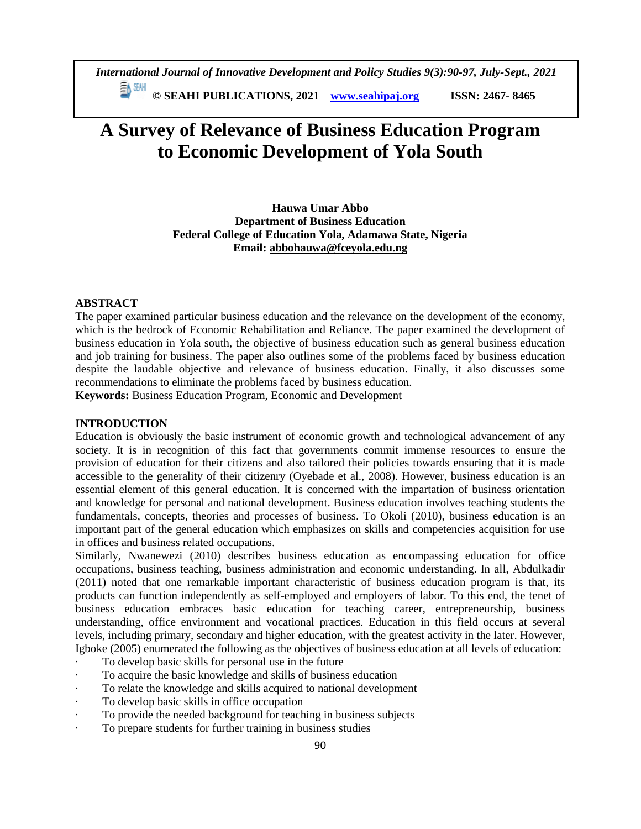*International Journal of Innovative Development and Policy Studies 9(3):90-97, July-Sept., 2021* EN SEMI

**© SEAHI PUBLICATIONS, 2021 [www.seahipaj.org](http://www.seahipaj.org/) ISSN: 2467- 8465**

# **A Survey of Relevance of Business Education Program to Economic Development of Yola South**

**Hauwa Umar Abbo Department of Business Education Federal College of Education Yola, Adamawa State, Nigeria Email: [abbohauwa@fceyola.edu.ng](mailto:abbohauwa@fceyola.edu.ng)**

## **ABSTRACT**

The paper examined particular business education and the relevance on the development of the economy, which is the bedrock of Economic Rehabilitation and Reliance. The paper examined the development of business education in Yola south, the objective of business education such as general business education and job training for business. The paper also outlines some of the problems faced by business education despite the laudable objective and relevance of business education. Finally, it also discusses some recommendations to eliminate the problems faced by business education.

**Keywords:** Business Education Program, Economic and Development

## **INTRODUCTION**

Education is obviously the basic instrument of economic growth and technological advancement of any society. It is in recognition of this fact that governments commit immense resources to ensure the provision of education for their citizens and also tailored their policies towards ensuring that it is made accessible to the generality of their citizenry (Oyebade et al., 2008). However, business education is an essential element of this general education. It is concerned with the impartation of business orientation and knowledge for personal and national development. Business education involves teaching students the fundamentals, concepts, theories and processes of business. To Okoli (2010), business education is an important part of the general education which emphasizes on skills and competencies acquisition for use in offices and business related occupations.

Similarly, Nwanewezi (2010) describes business education as encompassing education for office occupations, business teaching, business administration and economic understanding. In all, Abdulkadir (2011) noted that one remarkable important characteristic of business education program is that, its products can function independently as self-employed and employers of labor. To this end, the tenet of business education embraces basic education for teaching career, entrepreneurship, business understanding, office environment and vocational practices. Education in this field occurs at several levels, including primary, secondary and higher education, with the greatest activity in the later. However, Igboke (2005) enumerated the following as the objectives of business education at all levels of education:

- To develop basic skills for personal use in the future
- · To acquire the basic knowledge and skills of business education
- To relate the knowledge and skills acquired to national development
- · To develop basic skills in office occupation
- · To provide the needed background for teaching in business subjects
- To prepare students for further training in business studies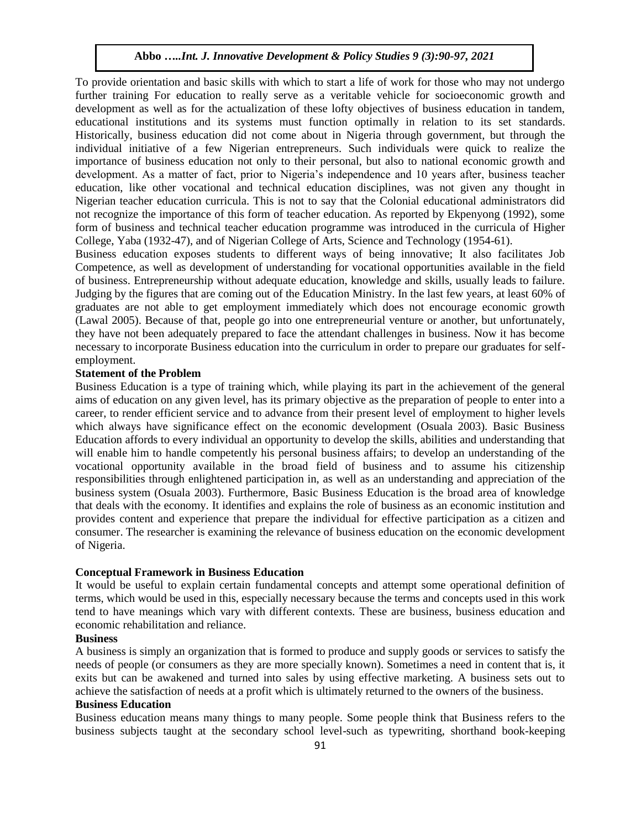To provide orientation and basic skills with which to start a life of work for those who may not undergo further training For education to really serve as a veritable vehicle for socioeconomic growth and development as well as for the actualization of these lofty objectives of business education in tandem, educational institutions and its systems must function optimally in relation to its set standards. Historically, business education did not come about in Nigeria through government, but through the individual initiative of a few Nigerian entrepreneurs. Such individuals were quick to realize the importance of business education not only to their personal, but also to national economic growth and development. As a matter of fact, prior to Nigeria's independence and 10 years after, business teacher education, like other vocational and technical education disciplines, was not given any thought in Nigerian teacher education curricula. This is not to say that the Colonial educational administrators did not recognize the importance of this form of teacher education. As reported by Ekpenyong (1992), some form of business and technical teacher education programme was introduced in the curricula of Higher College, Yaba (1932-47), and of Nigerian College of Arts, Science and Technology (1954-61).

Business education exposes students to different ways of being innovative; It also facilitates Job Competence, as well as development of understanding for vocational opportunities available in the field of business. Entrepreneurship without adequate education, knowledge and skills, usually leads to failure. Judging by the figures that are coming out of the Education Ministry. In the last few years, at least 60% of graduates are not able to get employment immediately which does not encourage economic growth (Lawal 2005). Because of that, people go into one entrepreneurial venture or another, but unfortunately, they have not been adequately prepared to face the attendant challenges in business. Now it has become necessary to incorporate Business education into the curriculum in order to prepare our graduates for selfemployment.

## **Statement of the Problem**

Business Education is a type of training which, while playing its part in the achievement of the general aims of education on any given level, has its primary objective as the preparation of people to enter into a career, to render efficient service and to advance from their present level of employment to higher levels which always have significance effect on the economic development (Osuala 2003). Basic Business Education affords to every individual an opportunity to develop the skills, abilities and understanding that will enable him to handle competently his personal business affairs; to develop an understanding of the vocational opportunity available in the broad field of business and to assume his citizenship responsibilities through enlightened participation in, as well as an understanding and appreciation of the business system (Osuala 2003). Furthermore, Basic Business Education is the broad area of knowledge that deals with the economy. It identifies and explains the role of business as an economic institution and provides content and experience that prepare the individual for effective participation as a citizen and consumer. The researcher is examining the relevance of business education on the economic development of Nigeria.

# **Conceptual Framework in Business Education**

It would be useful to explain certain fundamental concepts and attempt some operational definition of terms, which would be used in this, especially necessary because the terms and concepts used in this work tend to have meanings which vary with different contexts. These are business, business education and economic rehabilitation and reliance.

## **Business**

A business is simply an organization that is formed to produce and supply goods or services to satisfy the needs of people (or consumers as they are more specially known). Sometimes a need in content that is, it exits but can be awakened and turned into sales by using effective marketing. A business sets out to achieve the satisfaction of needs at a profit which is ultimately returned to the owners of the business.

#### **Business Education**

Business education means many things to many people. Some people think that Business refers to the business subjects taught at the secondary school level-such as typewriting, shorthand book-keeping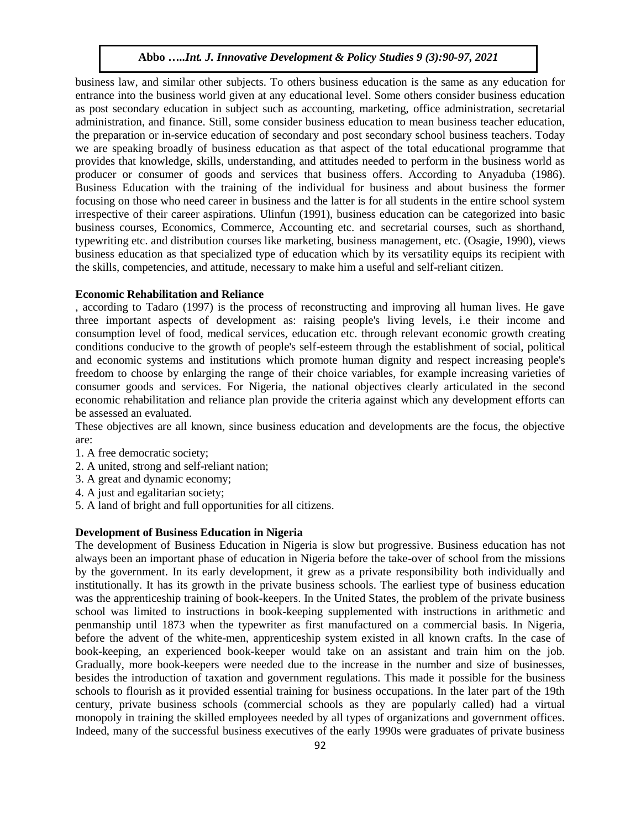business law, and similar other subjects. To others business education is the same as any education for entrance into the business world given at any educational level. Some others consider business education as post secondary education in subject such as accounting, marketing, office administration, secretarial administration, and finance. Still, some consider business education to mean business teacher education, the preparation or in-service education of secondary and post secondary school business teachers. Today we are speaking broadly of business education as that aspect of the total educational programme that provides that knowledge, skills, understanding, and attitudes needed to perform in the business world as producer or consumer of goods and services that business offers. According to Anyaduba (1986). Business Education with the training of the individual for business and about business the former focusing on those who need career in business and the latter is for all students in the entire school system irrespective of their career aspirations. Ulinfun (1991), business education can be categorized into basic business courses, Economics, Commerce, Accounting etc. and secretarial courses, such as shorthand, typewriting etc. and distribution courses like marketing, business management, etc. (Osagie, 1990), views business education as that specialized type of education which by its versatility equips its recipient with the skills, competencies, and attitude, necessary to make him a useful and self-reliant citizen.

## **Economic Rehabilitation and Reliance**

, according to Tadaro (1997) is the process of reconstructing and improving all human lives. He gave three important aspects of development as: raising people's living levels, i.e their income and consumption level of food, medical services, education etc. through relevant economic growth creating conditions conducive to the growth of people's self-esteem through the establishment of social, political and economic systems and institutions which promote human dignity and respect increasing people's freedom to choose by enlarging the range of their choice variables, for example increasing varieties of consumer goods and services. For Nigeria, the national objectives clearly articulated in the second economic rehabilitation and reliance plan provide the criteria against which any development efforts can be assessed an evaluated.

These objectives are all known, since business education and developments are the focus, the objective are:

- 1. A free democratic society;
- 2. A united, strong and self-reliant nation;
- 3. A great and dynamic economy;
- 4. A just and egalitarian society;
- 5. A land of bright and full opportunities for all citizens.

## **Development of Business Education in Nigeria**

The development of Business Education in Nigeria is slow but progressive. Business education has not always been an important phase of education in Nigeria before the take-over of school from the missions by the government. In its early development, it grew as a private responsibility both individually and institutionally. It has its growth in the private business schools. The earliest type of business education was the apprenticeship training of book-keepers. In the United States, the problem of the private business school was limited to instructions in book-keeping supplemented with instructions in arithmetic and penmanship until 1873 when the typewriter as first manufactured on a commercial basis. In Nigeria, before the advent of the white-men, apprenticeship system existed in all known crafts. In the case of book-keeping, an experienced book-keeper would take on an assistant and train him on the job. Gradually, more book-keepers were needed due to the increase in the number and size of businesses, besides the introduction of taxation and government regulations. This made it possible for the business schools to flourish as it provided essential training for business occupations. In the later part of the 19th century, private business schools (commercial schools as they are popularly called) had a virtual monopoly in training the skilled employees needed by all types of organizations and government offices. Indeed, many of the successful business executives of the early 1990s were graduates of private business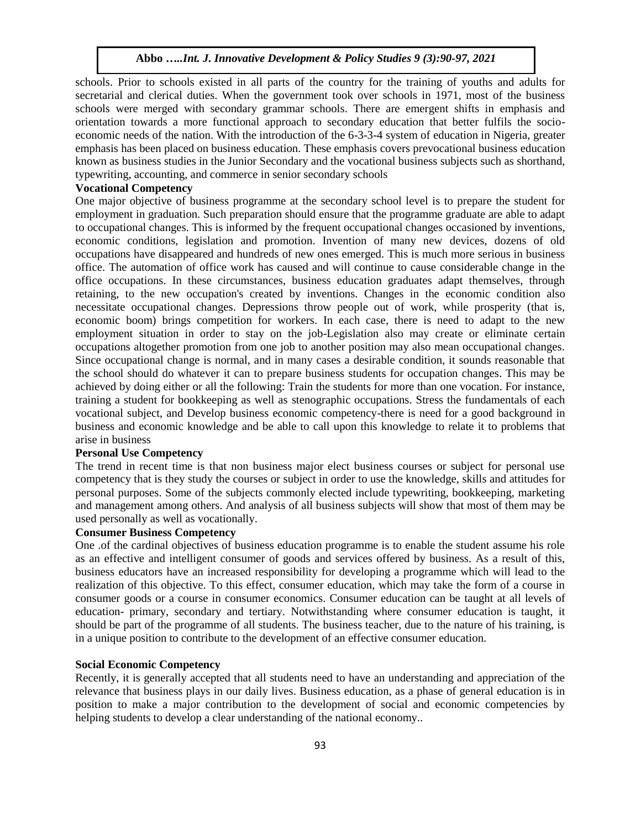schools. Prior to schools existed in all parts of the country for the training of youths and adults for secretarial and clerical duties. When the government took over schools in 1971, most of the business schools were merged with secondary grammar schools. There are emergent shifts in emphasis and orientation towards a more functional approach to secondary education that better fulfils the socioeconomic needs of the nation. With the introduction of the 6-3-3-4 system of education in Nigeria, greater emphasis has been placed on business education. These emphasis covers prevocational business education known as business studies in the Junior Secondary and the vocational business subjects such as shorthand, typewriting, accounting, and commerce in senior secondary schools

# **Vocational Competency**

One major objective of business programme at the secondary school level is to prepare the student for employment in graduation. Such preparation should ensure that the programme graduate are able to adapt to occupational changes. This is informed by the frequent occupational changes occasioned by inventions, economic conditions, legislation and promotion. Invention of many new devices, dozens of old occupations have disappeared and hundreds of new ones emerged. This is much more serious in business office. The automation of office work has caused and will continue to cause considerable change in the office occupations. In these circumstances, business education graduates adapt themselves, through retaining, to the new occupation's created by inventions. Changes in the economic condition also necessitate occupational changes. Depressions throw people out of work, while prosperity (that is, economic boom) brings competition for workers. In each case, there is need to adapt to the new employment situation in order to stay on the job-Legislation also may create or eliminate certain occupations altogether promotion from one job to another position may also mean occupational changes. Since occupational change is normal, and in many cases a desirable condition, it sounds reasonable that the school should do whatever it can to prepare business students for occupation changes. This may be achieved by doing either or all the following: Train the students for more than one vocation. For instance, training a student for bookkeeping as well as stenographic occupations. Stress the fundamentals of each vocational subject, and Develop business economic competency-there is need for a good background in business and economic knowledge and be able to call upon this knowledge to relate it to problems that arise in business

## **Personal Use Competency**

The trend in recent time is that non business major elect business courses or subject for personal use competency that is they study the courses or subject in order to use the knowledge, skills and attitudes for personal purposes. Some of the subjects commonly elected include typewriting, bookkeeping, marketing and management among others. And analysis of all business subjects will show that most of them may be used personally as well as vocationally.

# **Consumer Business Competency**

One .of the cardinal objectives of business education programme is to enable the student assume his role as an effective and intelligent consumer of goods and services offered by business. As a result of this, business educators have an increased responsibility for developing a programme which will lead to the realization of this objective. To this effect, consumer education, which may take the form of a course in consumer goods or a course in consumer economics. Consumer education can be taught at all levels of education- primary, secondary and tertiary. Notwithstanding where consumer education is taught, it should be part of the programme of all students. The business teacher, due to the nature of his training, is in a unique position to contribute to the development of an effective consumer education.

# **Social Economic Competency**

Recently, it is generally accepted that all students need to have an understanding and appreciation of the relevance that business plays in our daily lives. Business education, as a phase of general education is in position to make a major contribution to the development of social and economic competencies by helping students to develop a clear understanding of the national economy..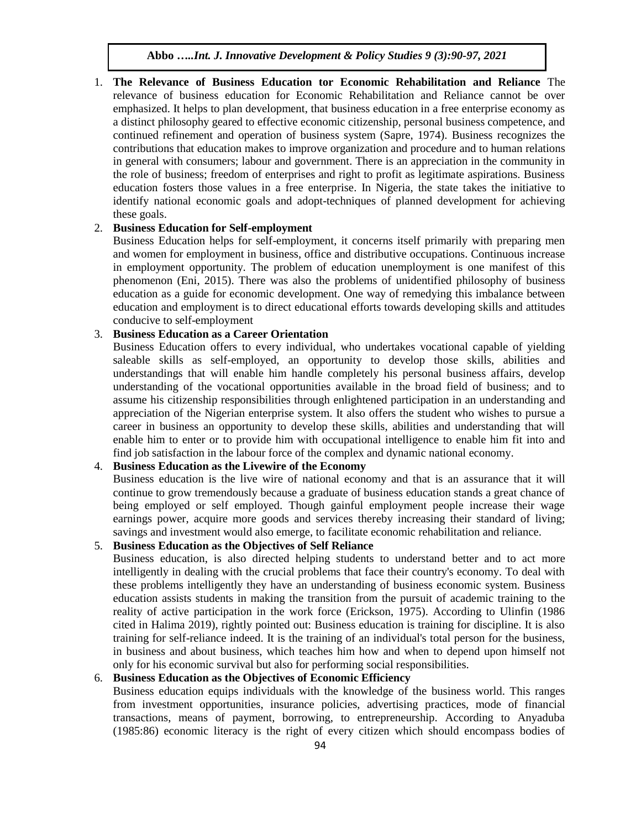1. **The Relevance of Business Education tor Economic Rehabilitation and Reliance** The relevance of business education for Economic Rehabilitation and Reliance cannot be over emphasized. It helps to plan development, that business education in a free enterprise economy as a distinct philosophy geared to effective economic citizenship, personal business competence, and continued refinement and operation of business system (Sapre, 1974). Business recognizes the contributions that education makes to improve organization and procedure and to human relations in general with consumers; labour and government. There is an appreciation in the community in the role of business; freedom of enterprises and right to profit as legitimate aspirations. Business education fosters those values in a free enterprise. In Nigeria, the state takes the initiative to identify national economic goals and adopt-techniques of planned development for achieving these goals.

## 2. **Business Education for Self-employment**

Business Education helps for self-employment, it concerns itself primarily with preparing men and women for employment in business, office and distributive occupations. Continuous increase in employment opportunity. The problem of education unemployment is one manifest of this phenomenon (Eni, 2015). There was also the problems of unidentified philosophy of business education as a guide for economic development. One way of remedying this imbalance between education and employment is to direct educational efforts towards developing skills and attitudes conducive to self-employment

# 3. **Business Education as a Career Orientation**

Business Education offers to every individual, who undertakes vocational capable of yielding saleable skills as self-employed, an opportunity to develop those skills, abilities and understandings that will enable him handle completely his personal business affairs, develop understanding of the vocational opportunities available in the broad field of business; and to assume his citizenship responsibilities through enlightened participation in an understanding and appreciation of the Nigerian enterprise system. It also offers the student who wishes to pursue a career in business an opportunity to develop these skills, abilities and understanding that will enable him to enter or to provide him with occupational intelligence to enable him fit into and find job satisfaction in the labour force of the complex and dynamic national economy.

# 4. **Business Education as the Livewire of the Economy**

Business education is the live wire of national economy and that is an assurance that it will continue to grow tremendously because a graduate of business education stands a great chance of being employed or self employed. Though gainful employment people increase their wage earnings power, acquire more goods and services thereby increasing their standard of living; savings and investment would also emerge, to facilitate economic rehabilitation and reliance.

# 5. **Business Education as the Objectives of Self Reliance**

Business education, is also directed helping students to understand better and to act more intelligently in dealing with the crucial problems that face their country's economy. To deal with these problems intelligently they have an understanding of business economic system. Business education assists students in making the transition from the pursuit of academic training to the reality of active participation in the work force (Erickson, 1975). According to Ulinfin (1986 cited in Halima 2019), rightly pointed out: Business education is training for discipline. It is also training for self-reliance indeed. It is the training of an individual's total person for the business, in business and about business, which teaches him how and when to depend upon himself not only for his economic survival but also for performing social responsibilities.

## 6. **Business Education as the Objectives of Economic Efficiency**

Business education equips individuals with the knowledge of the business world. This ranges from investment opportunities, insurance policies, advertising practices, mode of financial transactions, means of payment, borrowing, to entrepreneurship. According to Anyaduba (1985:86) economic literacy is the right of every citizen which should encompass bodies of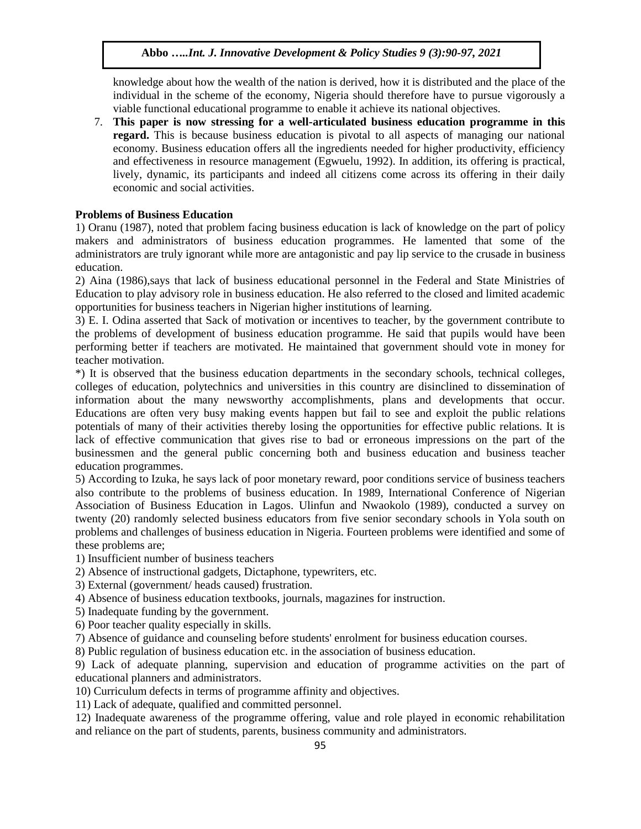knowledge about how the wealth of the nation is derived, how it is distributed and the place of the individual in the scheme of the economy, Nigeria should therefore have to pursue vigorously a viable functional educational programme to enable it achieve its national objectives.

7. **This paper is now stressing for a well-articulated business education programme in this regard.** This is because business education is pivotal to all aspects of managing our national economy. Business education offers all the ingredients needed for higher productivity, efficiency and effectiveness in resource management (Egwuelu, 1992). In addition, its offering is practical, lively, dynamic, its participants and indeed all citizens come across its offering in their daily economic and social activities.

# **Problems of Business Education**

1) Oranu (1987), noted that problem facing business education is lack of knowledge on the part of policy makers and administrators of business education programmes. He lamented that some of the administrators are truly ignorant while more are antagonistic and pay lip service to the crusade in business education.

2) Aina (1986),says that lack of business educational personnel in the Federal and State Ministries of Education to play advisory role in business education. He also referred to the closed and limited academic opportunities for business teachers in Nigerian higher institutions of learning.

3) E. I. Odina asserted that Sack of motivation or incentives to teacher, by the government contribute to the problems of development of business education programme. He said that pupils would have been performing better if teachers are motivated. He maintained that government should vote in money for teacher motivation.

\*) It is observed that the business education departments in the secondary schools, technical colleges, colleges of education, polytechnics and universities in this country are disinclined to dissemination of information about the many newsworthy accomplishments, plans and developments that occur. Educations are often very busy making events happen but fail to see and exploit the public relations potentials of many of their activities thereby losing the opportunities for effective public relations. It is lack of effective communication that gives rise to bad or erroneous impressions on the part of the businessmen and the general public concerning both and business education and business teacher education programmes.

5) According to Izuka, he says lack of poor monetary reward, poor conditions service of business teachers also contribute to the problems of business education. In 1989, International Conference of Nigerian Association of Business Education in Lagos. Ulinfun and Nwaokolo (1989), conducted a survey on twenty (20) randomly selected business educators from five senior secondary schools in Yola south on problems and challenges of business education in Nigeria. Fourteen problems were identified and some of these problems are;

1) Insufficient number of business teachers

2) Absence of instructional gadgets, Dictaphone, typewriters, etc.

3) External (government/ heads caused) frustration.

4) Absence of business education textbooks, journals, magazines for instruction.

5) Inadequate funding by the government.

6) Poor teacher quality especially in skills.

7) Absence of guidance and counseling before students' enrolment for business education courses.

8) Public regulation of business education etc. in the association of business education.

9) Lack of adequate planning, supervision and education of programme activities on the part of educational planners and administrators.

10) Curriculum defects in terms of programme affinity and objectives.

11) Lack of adequate, qualified and committed personnel.

12) Inadequate awareness of the programme offering, value and role played in economic rehabilitation and reliance on the part of students, parents, business community and administrators.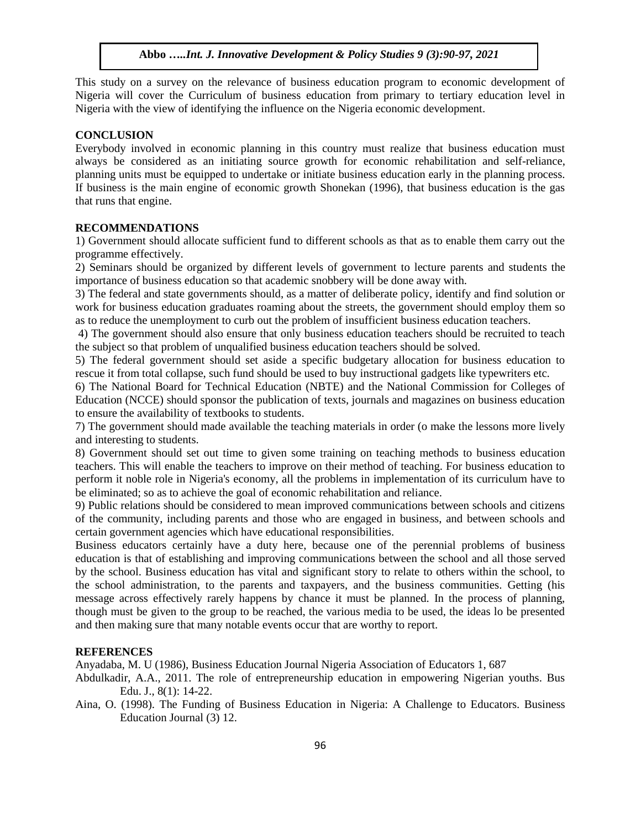This study on a survey on the relevance of business education program to economic development of Nigeria will cover the Curriculum of business education from primary to tertiary education level in Nigeria with the view of identifying the influence on the Nigeria economic development.

## **CONCLUSION**

Everybody involved in economic planning in this country must realize that business education must always be considered as an initiating source growth for economic rehabilitation and self-reliance, planning units must be equipped to undertake or initiate business education early in the planning process. If business is the main engine of economic growth Shonekan (1996), that business education is the gas that runs that engine.

## **RECOMMENDATIONS**

1) Government should allocate sufficient fund to different schools as that as to enable them carry out the programme effectively.

2) Seminars should be organized by different levels of government to lecture parents and students the importance of business education so that academic snobbery will be done away with.

3) The federal and state governments should, as a matter of deliberate policy, identify and find solution or work for business education graduates roaming about the streets, the government should employ them so as to reduce the unemployment to curb out the problem of insufficient business education teachers.

4) The government should also ensure that only business education teachers should be recruited to teach the subject so that problem of unqualified business education teachers should be solved.

5) The federal government should set aside a specific budgetary allocation for business education to rescue it from total collapse, such fund should be used to buy instructional gadgets like typewriters etc.

6) The National Board for Technical Education (NBTE) and the National Commission for Colleges of Education (NCCE) should sponsor the publication of texts, journals and magazines on business education to ensure the availability of textbooks to students.

7) The government should made available the teaching materials in order (o make the lessons more lively and interesting to students.

8) Government should set out time to given some training on teaching methods to business education teachers. This will enable the teachers to improve on their method of teaching. For business education to perform it noble role in Nigeria's economy, all the problems in implementation of its curriculum have to be eliminated; so as to achieve the goal of economic rehabilitation and reliance.

9) Public relations should be considered to mean improved communications between schools and citizens of the community, including parents and those who are engaged in business, and between schools and certain government agencies which have educational responsibilities.

Business educators certainly have a duty here, because one of the perennial problems of business education is that of establishing and improving communications between the school and all those served by the school. Business education has vital and significant story to relate to others within the school, to the school administration, to the parents and taxpayers, and the business communities. Getting (his message across effectively rarely happens by chance it must be planned. In the process of planning, though must be given to the group to be reached, the various media to be used, the ideas lo be presented and then making sure that many notable events occur that are worthy to report.

## **REFERENCES**

Anyadaba, M. U (1986), Business Education Journal Nigeria Association of Educators 1, 687

- Abdulkadir, A.A., 2011. The role of entrepreneurship education in empowering Nigerian youths. Bus Edu. J., 8(1): 14-22.
- Aina, O. (1998). The Funding of Business Education in Nigeria: A Challenge to Educators. Business Education Journal (3) 12.